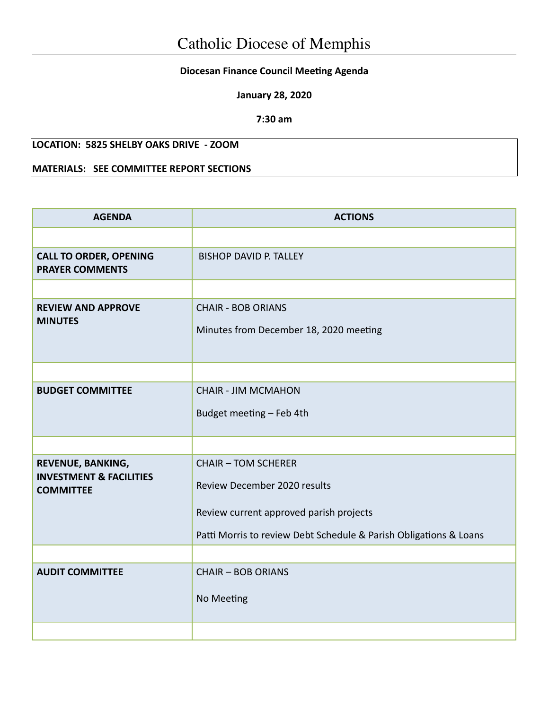## **Diocesan Finance Council Meeting Agenda**

**January 28, 2020**

**7:30 am**

## **LOCATION: 5825 SHELBY OAKS DRIVE - ZOOM**

## **MATERIALS: SEE COMMITTEE REPORT SECTIONS**

| <b>AGENDA</b>                                           | <b>ACTIONS</b>                                                      |  |  |
|---------------------------------------------------------|---------------------------------------------------------------------|--|--|
|                                                         |                                                                     |  |  |
| <b>CALL TO ORDER, OPENING</b><br><b>PRAYER COMMENTS</b> | <b>BISHOP DAVID P. TALLEY</b>                                       |  |  |
|                                                         |                                                                     |  |  |
| <b>REVIEW AND APPROVE</b><br><b>MINUTES</b>             | <b>CHAIR - BOB ORIANS</b><br>Minutes from December 18, 2020 meeting |  |  |
|                                                         |                                                                     |  |  |
| <b>BUDGET COMMITTEE</b>                                 | <b>CHAIR - JIM MCMAHON</b>                                          |  |  |
|                                                         | Budget meeting - Feb 4th                                            |  |  |
|                                                         |                                                                     |  |  |
| REVENUE, BANKING,<br><b>INVESTMENT &amp; FACILITIES</b> | <b>CHAIR - TOM SCHERER</b>                                          |  |  |
| <b>COMMITTEE</b>                                        | Review December 2020 results                                        |  |  |
|                                                         | Review current approved parish projects                             |  |  |
|                                                         | Patti Morris to review Debt Schedule & Parish Obligations & Loans   |  |  |
|                                                         |                                                                     |  |  |
| <b>AUDIT COMMITTEE</b>                                  | <b>CHAIR - BOB ORIANS</b>                                           |  |  |
|                                                         | No Meeting                                                          |  |  |
|                                                         |                                                                     |  |  |